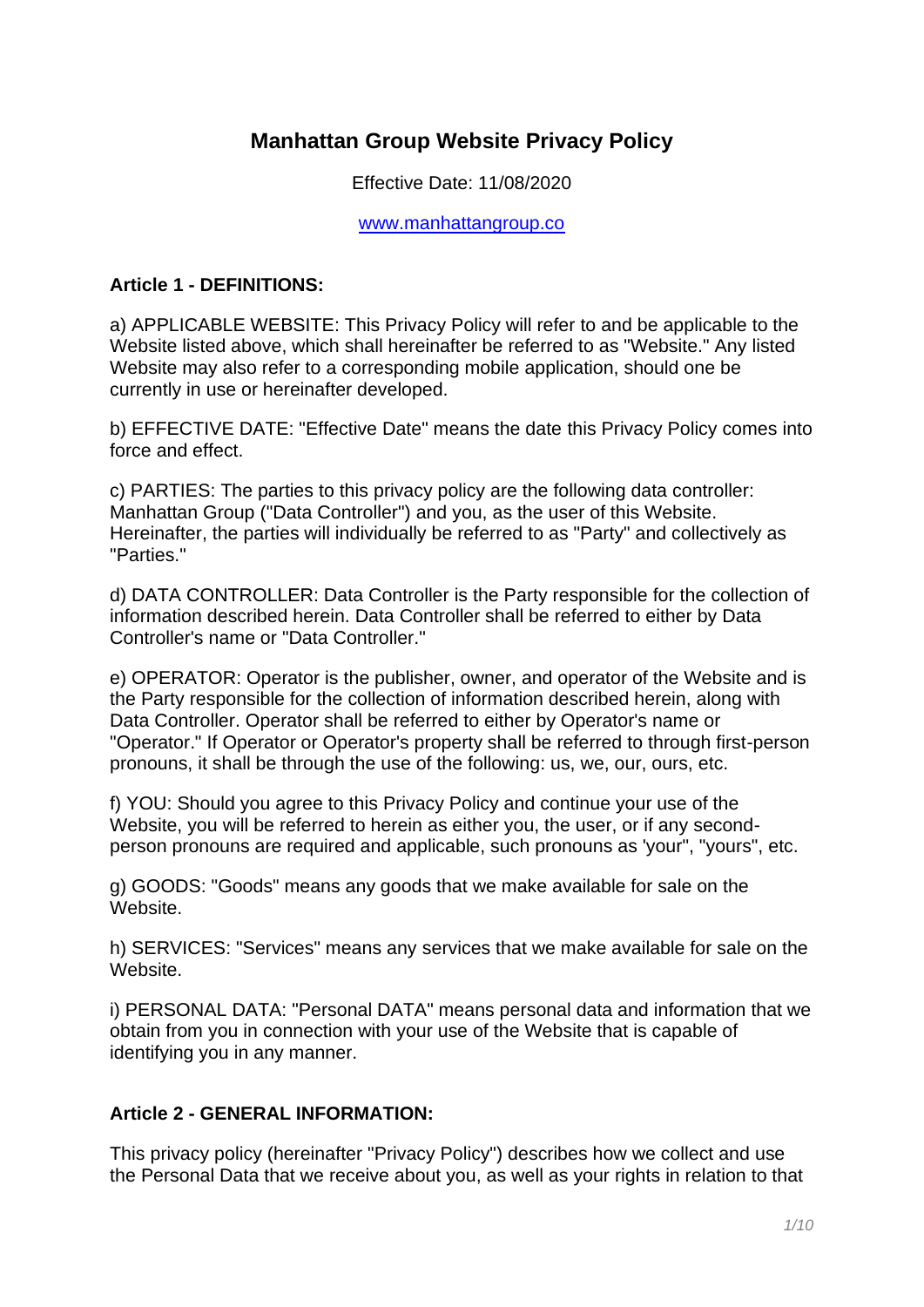# **Manhattan Group Website Privacy Policy**

Effective Date: 11/08/2020

[www.manhattangroup.co](http://www.manhattangroup.co/)

#### **Article 1 - DEFINITIONS:**

a) APPLICABLE WEBSITE: This Privacy Policy will refer to and be applicable to the Website listed above, which shall hereinafter be referred to as "Website." Any listed Website may also refer to a corresponding mobile application, should one be currently in use or hereinafter developed.

b) EFFECTIVE DATE: "Effective Date" means the date this Privacy Policy comes into force and effect.

c) PARTIES: The parties to this privacy policy are the following data controller: Manhattan Group ("Data Controller") and you, as the user of this Website. Hereinafter, the parties will individually be referred to as "Party" and collectively as "Parties."

d) DATA CONTROLLER: Data Controller is the Party responsible for the collection of information described herein. Data Controller shall be referred to either by Data Controller's name or "Data Controller."

e) OPERATOR: Operator is the publisher, owner, and operator of the Website and is the Party responsible for the collection of information described herein, along with Data Controller. Operator shall be referred to either by Operator's name or "Operator." If Operator or Operator's property shall be referred to through first-person pronouns, it shall be through the use of the following: us, we, our, ours, etc.

f) YOU: Should you agree to this Privacy Policy and continue your use of the Website, you will be referred to herein as either you, the user, or if any secondperson pronouns are required and applicable, such pronouns as 'your", "yours", etc.

g) GOODS: "Goods" means any goods that we make available for sale on the Website.

h) SERVICES: "Services" means any services that we make available for sale on the Website.

i) PERSONAL DATA: "Personal DATA" means personal data and information that we obtain from you in connection with your use of the Website that is capable of identifying you in any manner.

#### **Article 2 - GENERAL INFORMATION:**

This privacy policy (hereinafter "Privacy Policy") describes how we collect and use the Personal Data that we receive about you, as well as your rights in relation to that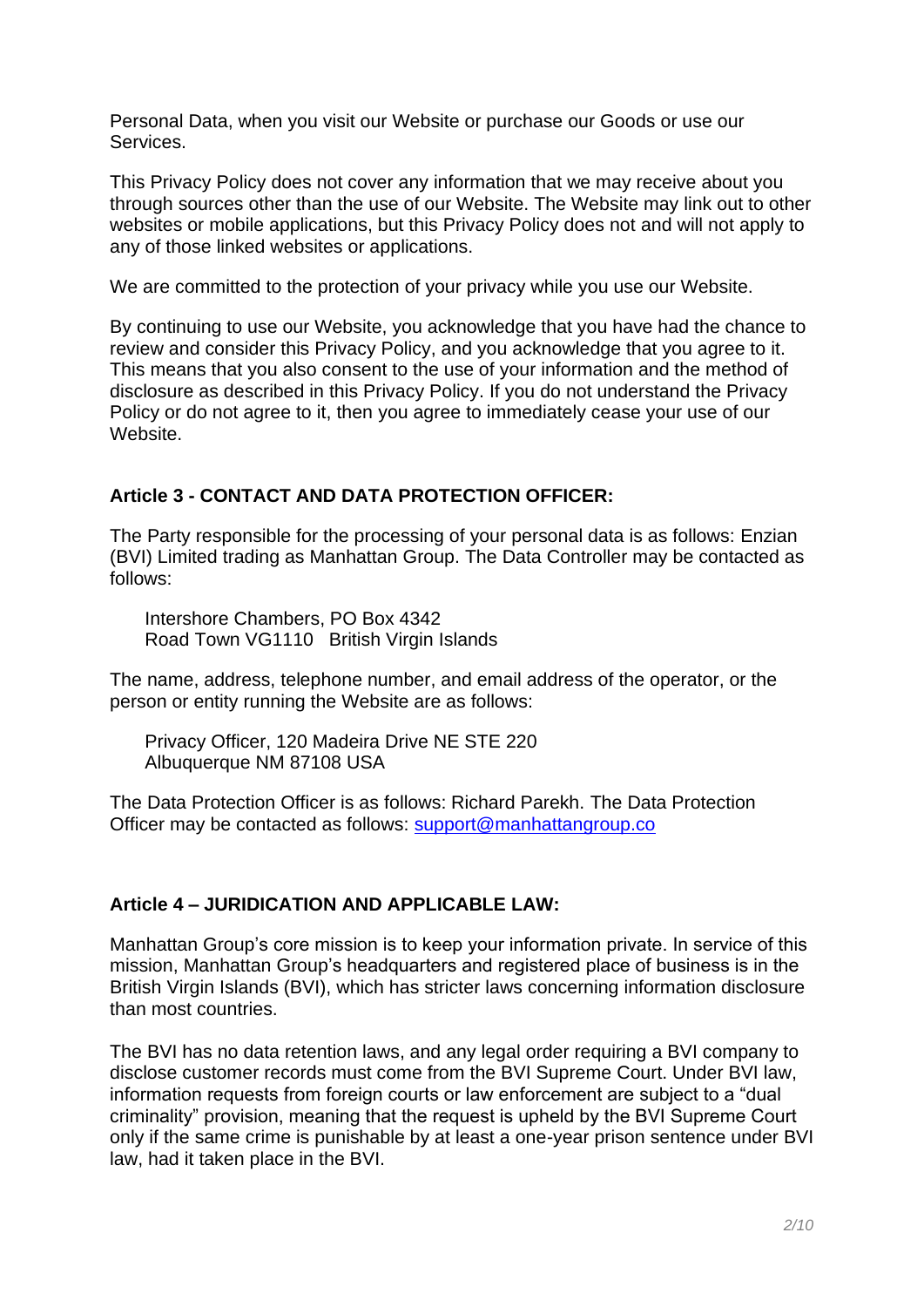Personal Data, when you visit our Website or purchase our Goods or use our Services.

This Privacy Policy does not cover any information that we may receive about you through sources other than the use of our Website. The Website may link out to other websites or mobile applications, but this Privacy Policy does not and will not apply to any of those linked websites or applications.

We are committed to the protection of your privacy while you use our Website.

By continuing to use our Website, you acknowledge that you have had the chance to review and consider this Privacy Policy, and you acknowledge that you agree to it. This means that you also consent to the use of your information and the method of disclosure as described in this Privacy Policy. If you do not understand the Privacy Policy or do not agree to it, then you agree to immediately cease your use of our Website.

# **Article 3 - CONTACT AND DATA PROTECTION OFFICER:**

The Party responsible for the processing of your personal data is as follows: Enzian (BVI) Limited trading as Manhattan Group. The Data Controller may be contacted as follows:

Intershore Chambers, PO Box 4342 Road Town VG1110 British Virgin Islands

The name, address, telephone number, and email address of the operator, or the person or entity running the Website are as follows:

Privacy Officer, 120 Madeira Drive NE STE 220 Albuquerque NM 87108 USA

The Data Protection Officer is as follows: Richard Parekh. The Data Protection Officer may be contacted as follows: [support@manhattangroup.co](mailto:support@manhattangroup.co)

# **Article 4 – JURIDICATION AND APPLICABLE LAW:**

Manhattan Group's core mission is to keep your information private. In service of this mission, Manhattan Group's headquarters and registered place of business is in the British Virgin Islands (BVI), which has stricter laws concerning information disclosure than most countries.

The BVI has no data retention laws, and any legal order requiring a BVI company to disclose customer records must come from the BVI Supreme Court. Under BVI law, information requests from foreign courts or law enforcement are subject to a "dual criminality" provision, meaning that the request is upheld by the BVI Supreme Court only if the same crime is punishable by at least a one-year prison sentence under BVI law, had it taken place in the BVI.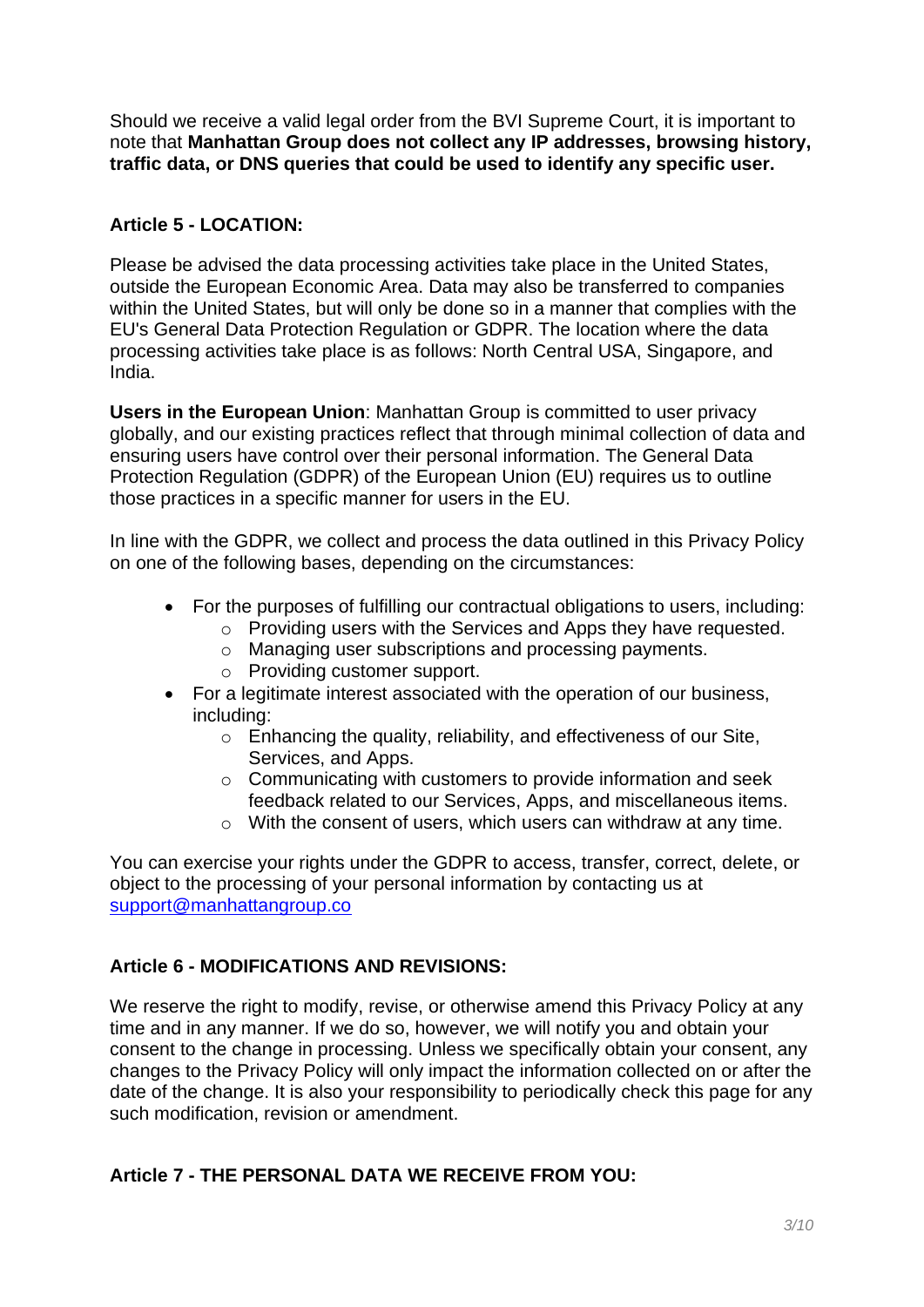Should we receive a valid legal order from the BVI Supreme Court, it is important to note that **Manhattan Group does not collect any IP addresses, browsing history, traffic data, or DNS queries that could be used to identify any specific user.**

# **Article 5 - LOCATION:**

Please be advised the data processing activities take place in the United States, outside the European Economic Area. Data may also be transferred to companies within the United States, but will only be done so in a manner that complies with the EU's General Data Protection Regulation or GDPR. The location where the data processing activities take place is as follows: North Central USA, Singapore, and India.

**Users in the European Union**: Manhattan Group is committed to user privacy globally, and our existing practices reflect that through minimal collection of data and ensuring users have control over their personal information. The General Data Protection Regulation (GDPR) of the European Union (EU) requires us to outline those practices in a specific manner for users in the EU.

In line with the GDPR, we collect and process the data outlined in this Privacy Policy on one of the following bases, depending on the circumstances:

- For the purposes of fulfilling our contractual obligations to users, including:
	- o Providing users with the Services and Apps they have requested.
	- o Managing user subscriptions and processing payments.
	- o Providing customer support.
- For a legitimate interest associated with the operation of our business, including:
	- $\circ$  Enhancing the quality, reliability, and effectiveness of our Site, Services, and Apps.
	- $\circ$  Communicating with customers to provide information and seek feedback related to our Services, Apps, and miscellaneous items.
	- o With the consent of users, which users can withdraw at any time.

You can exercise your rights under the GDPR to access, transfer, correct, delete, or object to the processing of your personal information by contacting us at [support@manhattangroup.co](mailto:support@manhattangroup.co)

# **Article 6 - MODIFICATIONS AND REVISIONS:**

We reserve the right to modify, revise, or otherwise amend this Privacy Policy at any time and in any manner. If we do so, however, we will notify you and obtain your consent to the change in processing. Unless we specifically obtain your consent, any changes to the Privacy Policy will only impact the information collected on or after the date of the change. It is also your responsibility to periodically check this page for any such modification, revision or amendment.

# **Article 7 - THE PERSONAL DATA WE RECEIVE FROM YOU:**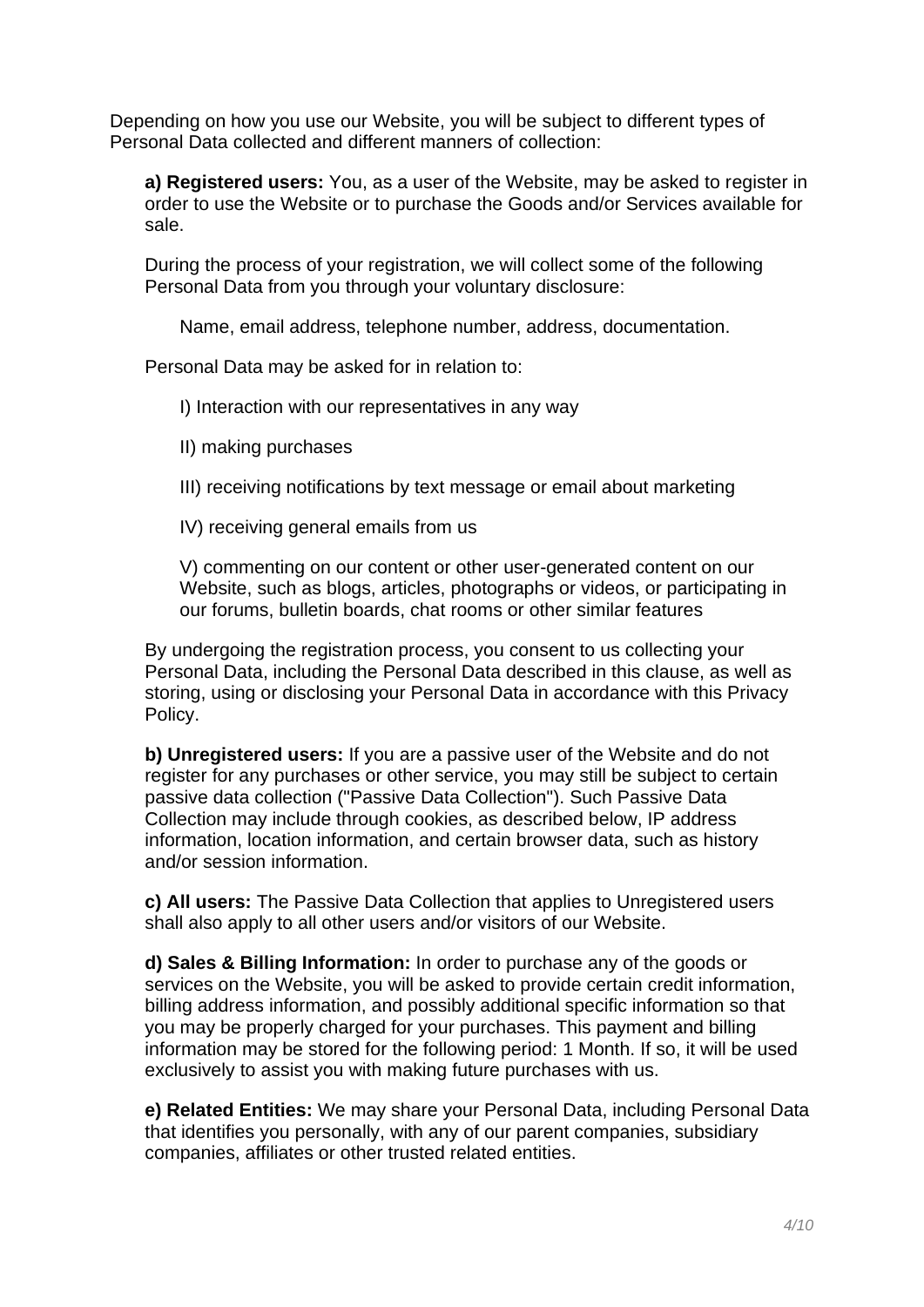Depending on how you use our Website, you will be subject to different types of Personal Data collected and different manners of collection:

**a) Registered users:** You, as a user of the Website, may be asked to register in order to use the Website or to purchase the Goods and/or Services available for sale.

During the process of your registration, we will collect some of the following Personal Data from you through your voluntary disclosure:

Name, email address, telephone number, address, documentation.

Personal Data may be asked for in relation to:

I) Interaction with our representatives in any way

- II) making purchases
- III) receiving notifications by text message or email about marketing
- IV) receiving general emails from us

V) commenting on our content or other user-generated content on our Website, such as blogs, articles, photographs or videos, or participating in our forums, bulletin boards, chat rooms or other similar features

By undergoing the registration process, you consent to us collecting your Personal Data, including the Personal Data described in this clause, as well as storing, using or disclosing your Personal Data in accordance with this Privacy Policy.

**b) Unregistered users:** If you are a passive user of the Website and do not register for any purchases or other service, you may still be subject to certain passive data collection ("Passive Data Collection"). Such Passive Data Collection may include through cookies, as described below, IP address information, location information, and certain browser data, such as history and/or session information.

**c) All users:** The Passive Data Collection that applies to Unregistered users shall also apply to all other users and/or visitors of our Website.

**d) Sales & Billing Information:** In order to purchase any of the goods or services on the Website, you will be asked to provide certain credit information, billing address information, and possibly additional specific information so that you may be properly charged for your purchases. This payment and billing information may be stored for the following period: 1 Month. If so, it will be used exclusively to assist you with making future purchases with us.

**e) Related Entities:** We may share your Personal Data, including Personal Data that identifies you personally, with any of our parent companies, subsidiary companies, affiliates or other trusted related entities.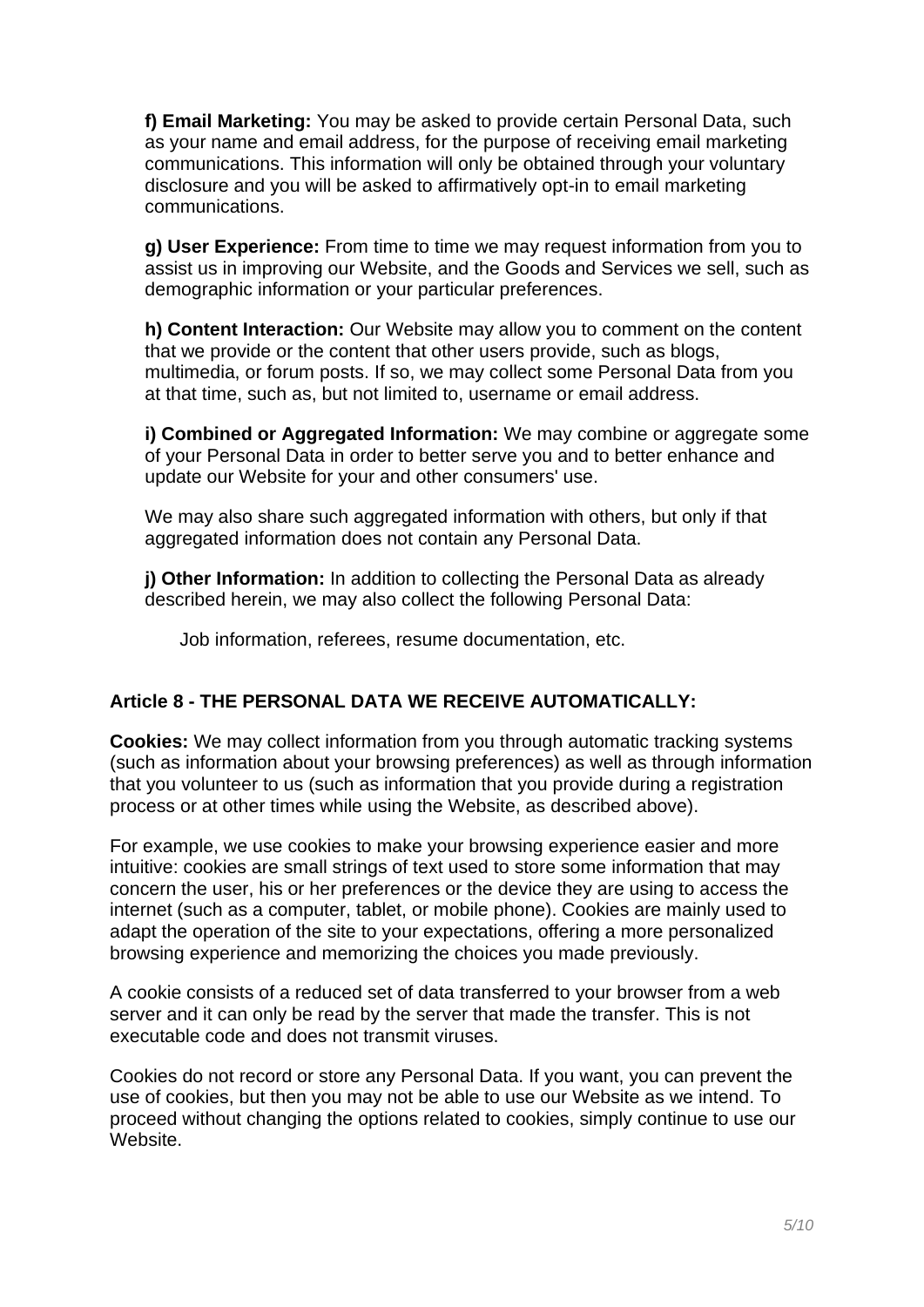**f) Email Marketing:** You may be asked to provide certain Personal Data, such as your name and email address, for the purpose of receiving email marketing communications. This information will only be obtained through your voluntary disclosure and you will be asked to affirmatively opt-in to email marketing communications.

**g) User Experience:** From time to time we may request information from you to assist us in improving our Website, and the Goods and Services we sell, such as demographic information or your particular preferences.

**h) Content Interaction:** Our Website may allow you to comment on the content that we provide or the content that other users provide, such as blogs, multimedia, or forum posts. If so, we may collect some Personal Data from you at that time, such as, but not limited to, username or email address.

**i) Combined or Aggregated Information:** We may combine or aggregate some of your Personal Data in order to better serve you and to better enhance and update our Website for your and other consumers' use.

We may also share such aggregated information with others, but only if that aggregated information does not contain any Personal Data.

**j) Other Information:** In addition to collecting the Personal Data as already described herein, we may also collect the following Personal Data:

Job information, referees, resume documentation, etc.

# **Article 8 - THE PERSONAL DATA WE RECEIVE AUTOMATICALLY:**

**Cookies:** We may collect information from you through automatic tracking systems (such as information about your browsing preferences) as well as through information that you volunteer to us (such as information that you provide during a registration process or at other times while using the Website, as described above).

For example, we use cookies to make your browsing experience easier and more intuitive: cookies are small strings of text used to store some information that may concern the user, his or her preferences or the device they are using to access the internet (such as a computer, tablet, or mobile phone). Cookies are mainly used to adapt the operation of the site to your expectations, offering a more personalized browsing experience and memorizing the choices you made previously.

A cookie consists of a reduced set of data transferred to your browser from a web server and it can only be read by the server that made the transfer. This is not executable code and does not transmit viruses.

Cookies do not record or store any Personal Data. If you want, you can prevent the use of cookies, but then you may not be able to use our Website as we intend. To proceed without changing the options related to cookies, simply continue to use our Website.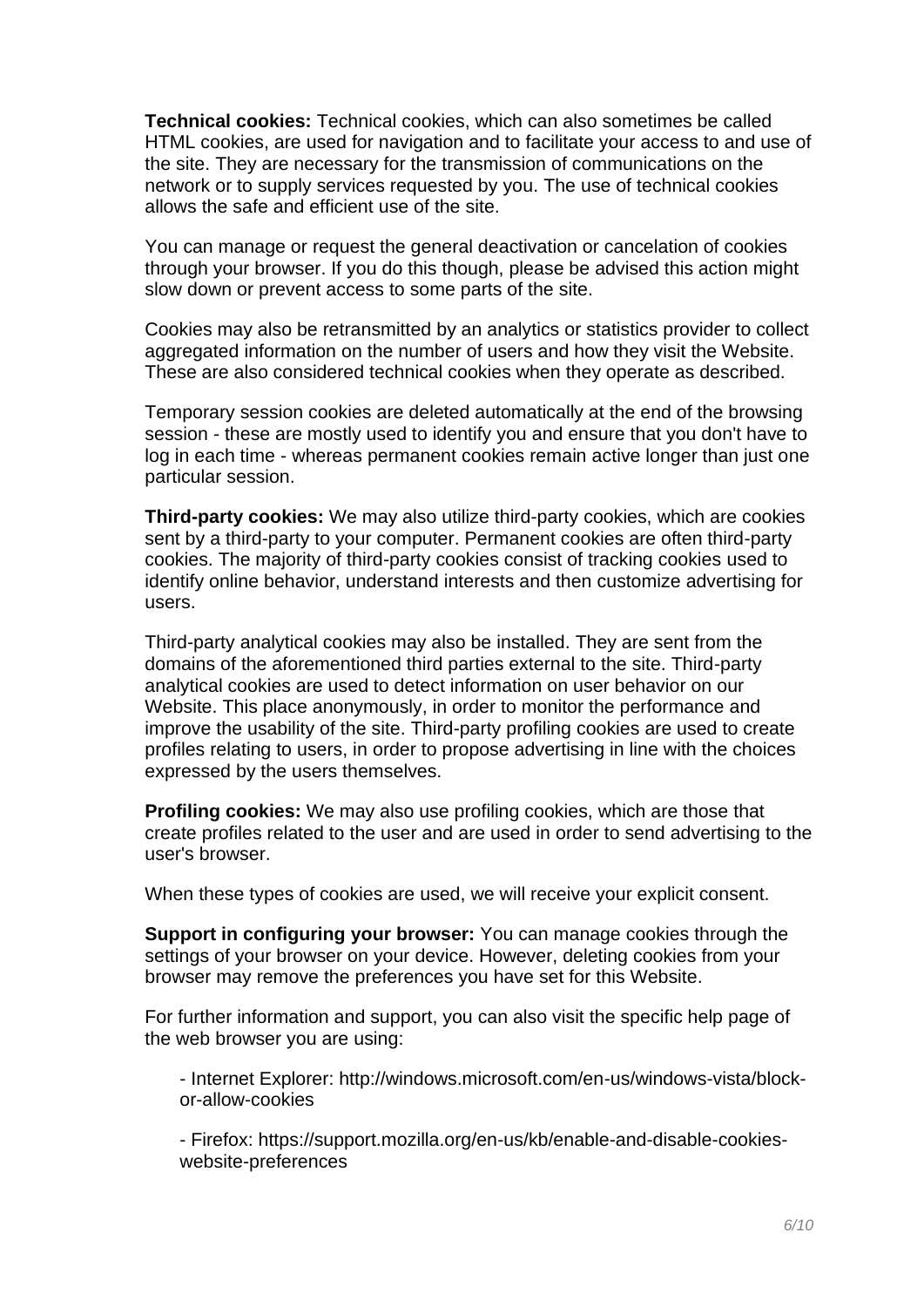**Technical cookies:** Technical cookies, which can also sometimes be called HTML cookies, are used for navigation and to facilitate your access to and use of the site. They are necessary for the transmission of communications on the network or to supply services requested by you. The use of technical cookies allows the safe and efficient use of the site.

You can manage or request the general deactivation or cancelation of cookies through your browser. If you do this though, please be advised this action might slow down or prevent access to some parts of the site.

Cookies may also be retransmitted by an analytics or statistics provider to collect aggregated information on the number of users and how they visit the Website. These are also considered technical cookies when they operate as described.

Temporary session cookies are deleted automatically at the end of the browsing session - these are mostly used to identify you and ensure that you don't have to log in each time - whereas permanent cookies remain active longer than just one particular session.

**Third-party cookies:** We may also utilize third-party cookies, which are cookies sent by a third-party to your computer. Permanent cookies are often third-party cookies. The majority of third-party cookies consist of tracking cookies used to identify online behavior, understand interests and then customize advertising for users.

Third-party analytical cookies may also be installed. They are sent from the domains of the aforementioned third parties external to the site. Third-party analytical cookies are used to detect information on user behavior on our Website. This place anonymously, in order to monitor the performance and improve the usability of the site. Third-party profiling cookies are used to create profiles relating to users, in order to propose advertising in line with the choices expressed by the users themselves.

**Profiling cookies:** We may also use profiling cookies, which are those that create profiles related to the user and are used in order to send advertising to the user's browser.

When these types of cookies are used, we will receive your explicit consent.

**Support in configuring your browser:** You can manage cookies through the settings of your browser on your device. However, deleting cookies from your browser may remove the preferences you have set for this Website.

For further information and support, you can also visit the specific help page of the web browser you are using:

- Internet Explorer: http://windows.microsoft.com/en-us/windows-vista/blockor-allow-cookies

- Firefox: https://support.mozilla.org/en-us/kb/enable-and-disable-cookieswebsite-preferences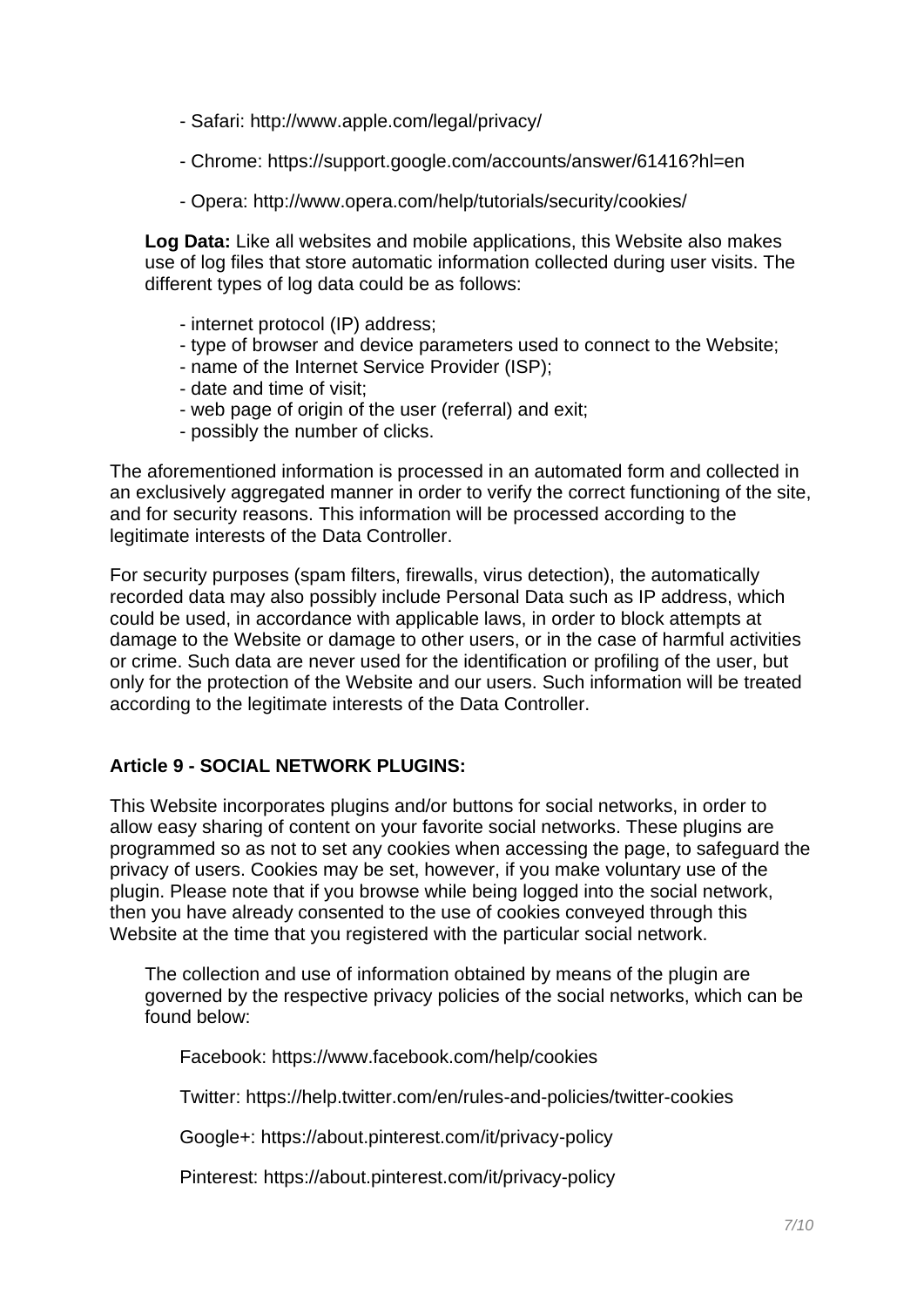- Safari: http://www.apple.com/legal/privacy/
- Chrome: https://support.google.com/accounts/answer/61416?hl=en
- Opera: http://www.opera.com/help/tutorials/security/cookies/

**Log Data:** Like all websites and mobile applications, this Website also makes use of log files that store automatic information collected during user visits. The different types of log data could be as follows:

- internet protocol (IP) address;
- type of browser and device parameters used to connect to the Website;
- name of the Internet Service Provider (ISP);
- date and time of visit;
- web page of origin of the user (referral) and exit;
- possibly the number of clicks.

The aforementioned information is processed in an automated form and collected in an exclusively aggregated manner in order to verify the correct functioning of the site, and for security reasons. This information will be processed according to the legitimate interests of the Data Controller.

For security purposes (spam filters, firewalls, virus detection), the automatically recorded data may also possibly include Personal Data such as IP address, which could be used, in accordance with applicable laws, in order to block attempts at damage to the Website or damage to other users, or in the case of harmful activities or crime. Such data are never used for the identification or profiling of the user, but only for the protection of the Website and our users. Such information will be treated according to the legitimate interests of the Data Controller.

#### **Article 9 - SOCIAL NETWORK PLUGINS:**

This Website incorporates plugins and/or buttons for social networks, in order to allow easy sharing of content on your favorite social networks. These plugins are programmed so as not to set any cookies when accessing the page, to safeguard the privacy of users. Cookies may be set, however, if you make voluntary use of the plugin. Please note that if you browse while being logged into the social network, then you have already consented to the use of cookies conveyed through this Website at the time that you registered with the particular social network.

The collection and use of information obtained by means of the plugin are governed by the respective privacy policies of the social networks, which can be found below:

Facebook: https://www.facebook.com/help/cookies

Twitter: https://help.twitter.com/en/rules-and-policies/twitter-cookies

Google+: https://about.pinterest.com/it/privacy-policy

Pinterest: https://about.pinterest.com/it/privacy-policy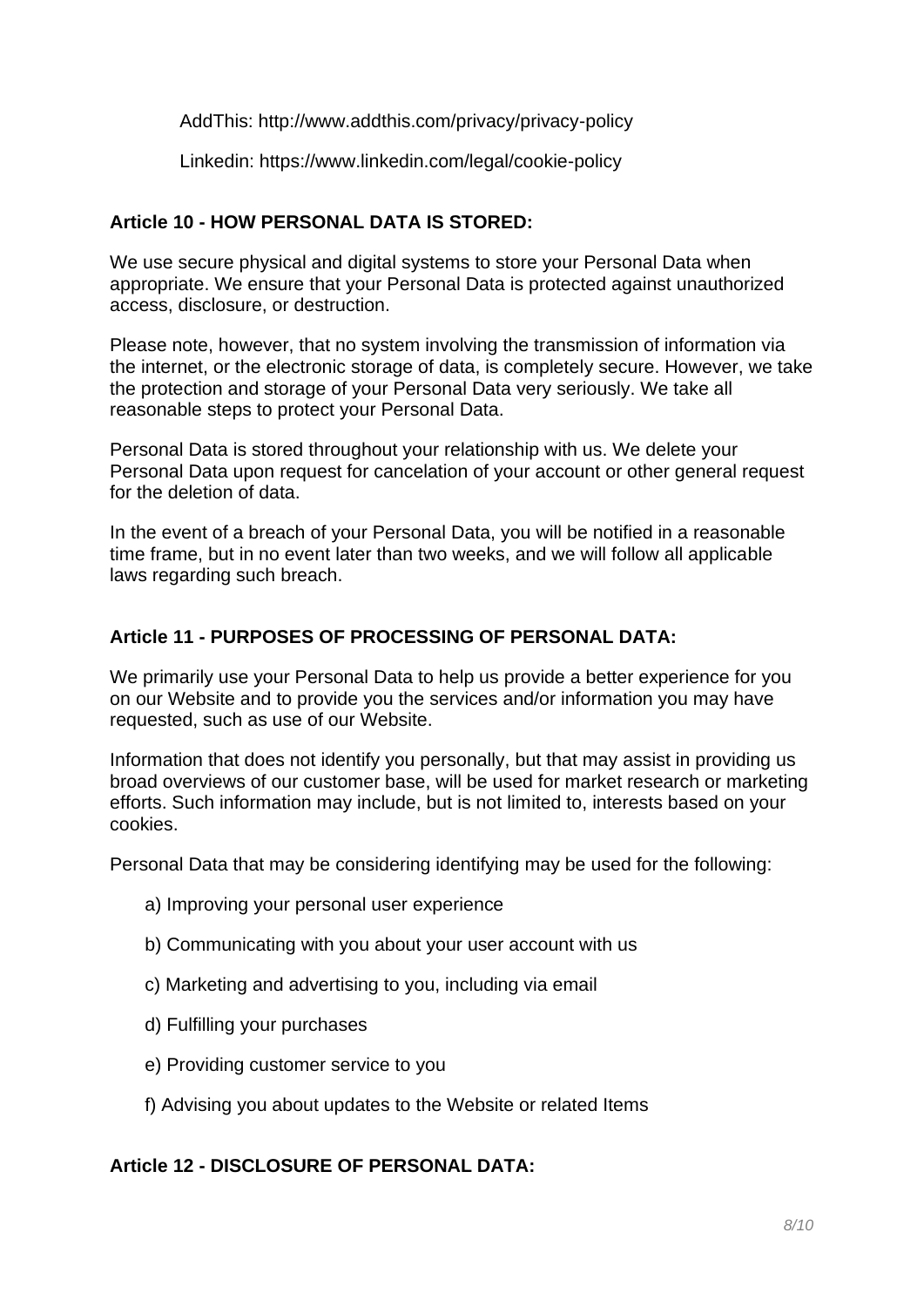AddThis: http://www.addthis.com/privacy/privacy-policy

Linkedin: https://www.linkedin.com/legal/cookie-policy

#### **Article 10 - HOW PERSONAL DATA IS STORED:**

We use secure physical and digital systems to store your Personal Data when appropriate. We ensure that your Personal Data is protected against unauthorized access, disclosure, or destruction.

Please note, however, that no system involving the transmission of information via the internet, or the electronic storage of data, is completely secure. However, we take the protection and storage of your Personal Data very seriously. We take all reasonable steps to protect your Personal Data.

Personal Data is stored throughout your relationship with us. We delete your Personal Data upon request for cancelation of your account or other general request for the deletion of data.

In the event of a breach of your Personal Data, you will be notified in a reasonable time frame, but in no event later than two weeks, and we will follow all applicable laws regarding such breach.

#### **Article 11 - PURPOSES OF PROCESSING OF PERSONAL DATA:**

We primarily use your Personal Data to help us provide a better experience for you on our Website and to provide you the services and/or information you may have requested, such as use of our Website.

Information that does not identify you personally, but that may assist in providing us broad overviews of our customer base, will be used for market research or marketing efforts. Such information may include, but is not limited to, interests based on your cookies.

Personal Data that may be considering identifying may be used for the following:

- a) Improving your personal user experience
- b) Communicating with you about your user account with us
- c) Marketing and advertising to you, including via email
- d) Fulfilling your purchases
- e) Providing customer service to you
- f) Advising you about updates to the Website or related Items

#### **Article 12 - DISCLOSURE OF PERSONAL DATA:**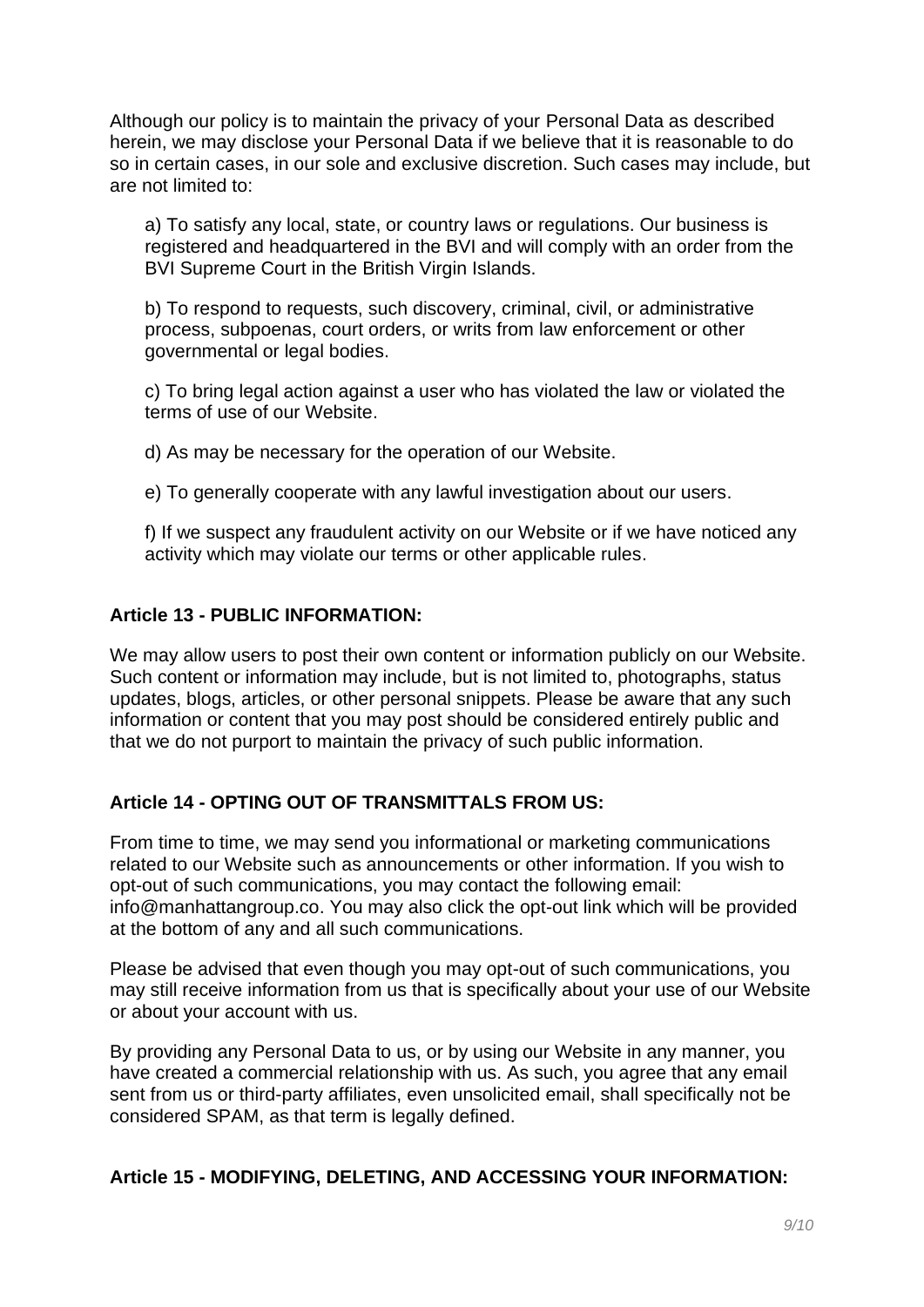Although our policy is to maintain the privacy of your Personal Data as described herein, we may disclose your Personal Data if we believe that it is reasonable to do so in certain cases, in our sole and exclusive discretion. Such cases may include, but are not limited to:

a) To satisfy any local, state, or country laws or regulations. Our business is registered and headquartered in the BVI and will comply with an order from the BVI Supreme Court in the British Virgin Islands.

b) To respond to requests, such discovery, criminal, civil, or administrative process, subpoenas, court orders, or writs from law enforcement or other governmental or legal bodies.

c) To bring legal action against a user who has violated the law or violated the terms of use of our Website.

d) As may be necessary for the operation of our Website.

e) To generally cooperate with any lawful investigation about our users.

f) If we suspect any fraudulent activity on our Website or if we have noticed any activity which may violate our terms or other applicable rules.

#### **Article 13 - PUBLIC INFORMATION:**

We may allow users to post their own content or information publicly on our Website. Such content or information may include, but is not limited to, photographs, status updates, blogs, articles, or other personal snippets. Please be aware that any such information or content that you may post should be considered entirely public and that we do not purport to maintain the privacy of such public information.

#### **Article 14 - OPTING OUT OF TRANSMITTALS FROM US:**

From time to time, we may send you informational or marketing communications related to our Website such as announcements or other information. If you wish to opt-out of such communications, you may contact the following email: info@manhattangroup.co. You may also click the opt-out link which will be provided at the bottom of any and all such communications.

Please be advised that even though you may opt-out of such communications, you may still receive information from us that is specifically about your use of our Website or about your account with us.

By providing any Personal Data to us, or by using our Website in any manner, you have created a commercial relationship with us. As such, you agree that any email sent from us or third-party affiliates, even unsolicited email, shall specifically not be considered SPAM, as that term is legally defined.

# **Article 15 - MODIFYING, DELETING, AND ACCESSING YOUR INFORMATION:**